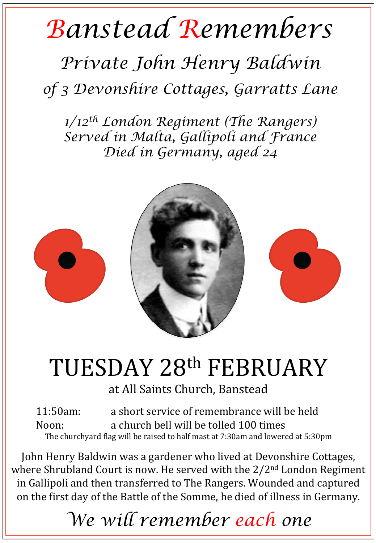## *Banstead Remembers*

## *Private John Henry Baldwin*

*of 3 Devonshire Cottages, Garratts Lane* 

*1/12th London Regiment (The Rangers) Served in Malta, Gallipoli and France Died in Germany, aged 24* 



## TUESDAY 28th FEBRUARY

at All Saints Church, Banstead

11:50am: a short service of remembrance will be held Noon: a church bell will be tolled 100 times The churchyard flag will be raised to half mast at 7:30am and lowered at 5:30pm

John Henry Baldwin was a gardener who lived at Devonshire Cottages, where Shrubland Court is now. He served with the  $2/2<sup>nd</sup>$  London Regiment in Gallipoli and then transferred to The Rangers. Wounded and captured on the first day of the Battle of the Somme, he died of illness in Germany.

*We will remember each one*